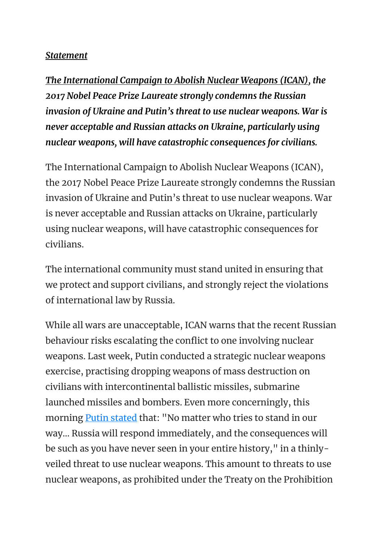## *Statement*

*The International Campaign to Abolish Nuclear Weapons (ICAN), the 2017 Nobel Peace Prize Laureate strongly condemns the Russian invasion of Ukraine and Putin's threat to use nuclear weapons. War is never acceptable and Russian attacks on Ukraine, particularly using nuclear weapons, will have catastrophic consequences for civilians.*

The International Campaign to Abolish Nuclear Weapons (ICAN), the 2017 Nobel Peace Prize Laureate strongly condemns the Russian invasion of Ukraine and Putin's threat to use nuclear weapons. War is never acceptable and Russian attacks on Ukraine, particularly using nuclear weapons, will have catastrophic consequences for civilians.

The international community must stand united in ensuring that we protect and support civilians, and strongly reject the violations of international law by Russia.

While all wars are unacceptable, ICAN warns that the recent Russian behaviour risks escalating the conflict to one involving nuclear weapons. Last week, Putin conducted a strategic nuclear weapons exercise, practising dropping weapons of mass destruction on civilians with intercontinental ballistic missiles, submarine launched missiles and bombers. Even more concerningly, this morning **[Putin stated](http://en.kremlin.ru/events/president/news/67843#sel=49:24:Qv6,49:77:1j6)** that: "No matter who tries to stand in our way… Russia will respond immediately, and the consequences will be such as you have never seen in your entire history," in a thinlyveiled threat to use nuclear weapons. This amount to threats to use nuclear weapons, as prohibited under the Treaty on the Prohibition